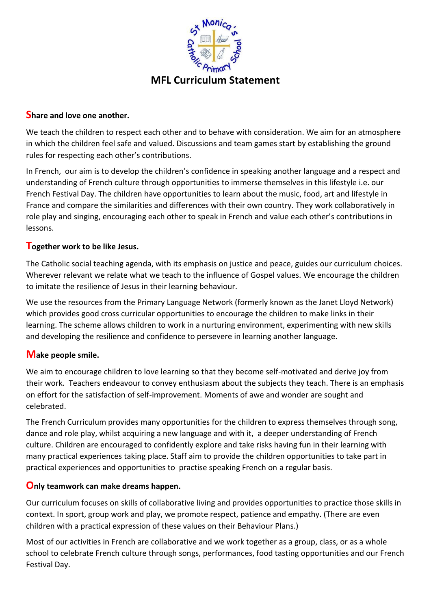

# **Share and love one another.**

We teach the children to respect each other and to behave with consideration. We aim for an atmosphere in which the children feel safe and valued. Discussions and team games start by establishing the ground rules for respecting each other's contributions.

In French, our aim is to develop the children's confidence in speaking another language and a respect and understanding of French culture through opportunities to immerse themselves in this lifestyle i.e. our French Festival Day. The children have opportunities to learn about the music, food, art and lifestyle in France and compare the similarities and differences with their own country. They work collaboratively in role play and singing, encouraging each other to speak in French and value each other's contributions in lessons.

# **Together work to be like Jesus.**

The Catholic social teaching agenda, with its emphasis on justice and peace, guides our curriculum choices. Wherever relevant we relate what we teach to the influence of Gospel values. We encourage the children to imitate the resilience of Jesus in their learning behaviour.

We use the resources from the Primary Language Network (formerly known as the Janet Lloyd Network) which provides good cross curricular opportunities to encourage the children to make links in their learning. The scheme allows children to work in a nurturing environment, experimenting with new skills and developing the resilience and confidence to persevere in learning another language.

# **Make people smile.**

We aim to encourage children to love learning so that they become self-motivated and derive joy from their work. Teachers endeavour to convey enthusiasm about the subjects they teach. There is an emphasis on effort for the satisfaction of self-improvement. Moments of awe and wonder are sought and celebrated.

The French Curriculum provides many opportunities for the children to express themselves through song, dance and role play, whilst acquiring a new language and with it, a deeper understanding of French culture. Children are encouraged to confidently explore and take risks having fun in their learning with many practical experiences taking place. Staff aim to provide the children opportunities to take part in practical experiences and opportunities to practise speaking French on a regular basis.

# **Only teamwork can make dreams happen.**

Our curriculum focuses on skills of collaborative living and provides opportunities to practice those skills in context. In sport, group work and play, we promote respect, patience and empathy. (There are even children with a practical expression of these values on their Behaviour Plans.)

Most of our activities in French are collaborative and we work together as a group, class, or as a whole school to celebrate French culture through songs, performances, food tasting opportunities and our French Festival Day.